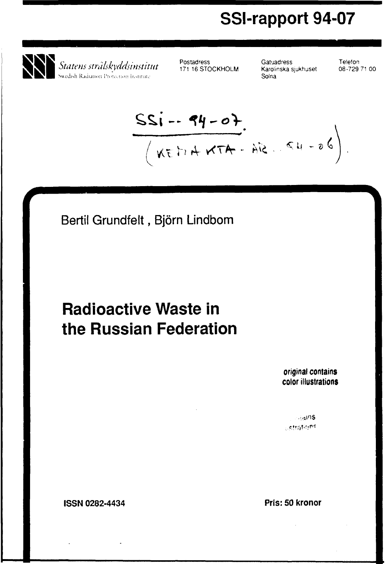# **SSI-rapport 94-07**



Postadress 171 16 STOCKHOLM

**Gatuadress** Karolinska sjukhuset Solna

Telefon 08-729 71 00

 $\frac{SSi - 94 - 07}{(Kt + 4K + 4k + 96)}$ 

Bertil Grundfelt, Björn Lindbom

# **Radioactive Waste in the Russian Federation**

**original contains color illustrations**

 $\sim$ ( $400$ S **Letrations** 

**ISSN 0282-4434 Pris: 50 kronor**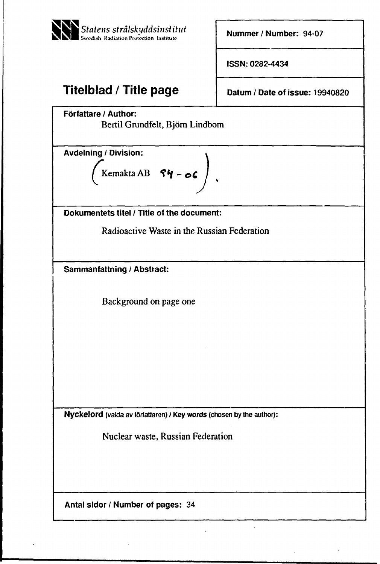

**Nummer / Number:** 94-07

**ISSN: 0282-4434**

# **Titelblad / Title page**

**Datum / Date of issue: 19940820**

**Författare / Author:**

Bertil Grundfelt, Björn Lindbom

Avdelning / Division:

$$
\left(\begin{array}{ccc}\mathsf{Kemakta AB} & \mathsf{S}\mathsf{Y}-\mathsf{oc}\end{array}\right)
$$

Dokumentets titel / Title of the document:

Radioactive Waste in the Russian Federation

 $\mathbf{r}$ 

**Sammanfattning / Abstract:**

Background on page one

**Nyckelord** (valda av författaren) / **Key words** (chosen by the author):

Nuclear waste, Russian Federation

Antal sidor / Number of pages: 34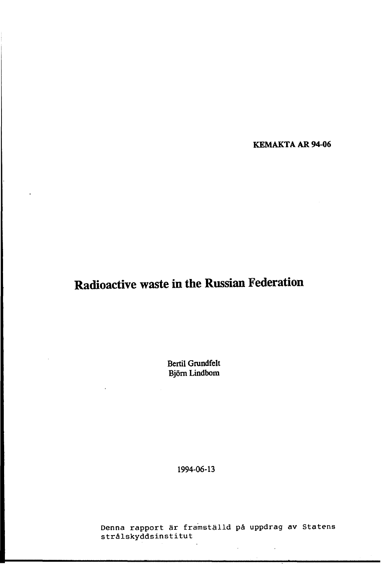**KEMAKTA AR 94-06**

# **Radioactive waste in the Russian Federation**

**Bertil Grundfelt Björn Lindbom**

**1994-06-13**

Denna rapport är framställd på uppdrag av Statens strålskyddsinstitut

 $\overline{\phantom{a}}$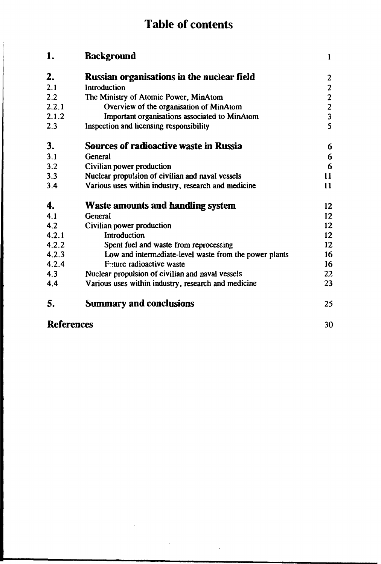# **Table of contents**

| 1.                | <b>Background</b>                                      | $\mathbf{1}$                               |
|-------------------|--------------------------------------------------------|--------------------------------------------|
| 2.                | <b>Russian organisations in the nuclear field</b>      | $\boldsymbol{2}$                           |
| 2.1               | Introduction                                           | $\mathbf{2}$                               |
| 2.2               | The Ministry of Atomic Power, MinAtom                  |                                            |
| 2.2.1             | Overview of the organisation of MinAtom                | $\begin{array}{c} 2 \\ 2 \\ 3 \end{array}$ |
| 2.1.2             | Important organisations associated to MinAtom          |                                            |
| 2.3               | Inspection and licensing responsibility                | $\overline{\mathbf{S}}$                    |
| 3.                | Sources of radioactive waste in Russia                 | 6                                          |
| 3.1               | General                                                | 6                                          |
| 3.2               | Civilian power production                              | 6                                          |
| 3.3               | Nuclear propulsion of civilian and naval vessels       | 11                                         |
| 3.4               | Various uses within industry, research and medicine    | 11                                         |
| 4.                | <b>Waste amounts and handling system</b>               | 12 <sup>2</sup>                            |
| 4.1               | General                                                | 12 <sup>2</sup>                            |
| 4.2               | Civilian power production                              | 12 <sup>2</sup>                            |
| 4.2.1             | Introduction                                           | 12                                         |
| 4.2.2             | Spent fuel and waste from reprocessing                 | 12                                         |
| 4.2.3             | Low and intermediate-level waste from the power plants | 16                                         |
| 4.2.4             | Future radioactive waste                               | 16                                         |
| 4.3               | Nuclear propulsion of civilian and naval vessels       | 22                                         |
| 4.4               | Various uses within industry, research and medicine    | 23                                         |
| 5.                | <b>Summary and conclusions</b>                         | 25                                         |
| <b>References</b> |                                                        | 30                                         |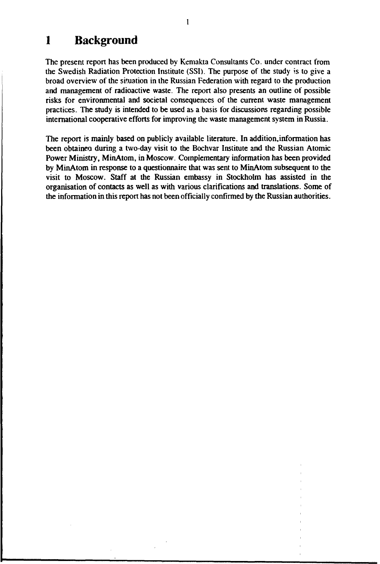# **1 Background**

The present report has been produced by Kemakta Consultants Co. under contract from the Swedish Radiation Protection Institute (SSI). The purpose of the study is to give a broad overview of the situation in the Russian Federation with regard to the production and management of radioactive waste. The report also presents an outline of possible risks for environmental and societal consequences of the current waste management practices. The study is intended to be used as a basis for discussions regarding possible international cooperative efforts for improving the waste management system in Russia.

The report is mainly based on publicly available literature. In addition,information has been obtained during a two-day visit to the Bochvar Institute and the Russian Atomic Power Ministry, MinAtom, in Moscow. Complementary information has been provided by MinAtom in response to a questionnaire that was sent to MinAtom subsequent to the visit to Moscow. Staff at the Russian embassy in Stockholm has assisted in the organisation of contacts as well as with various clarifications and translations. Some of the information in this report has not been officially confirmed by the Russian authorities.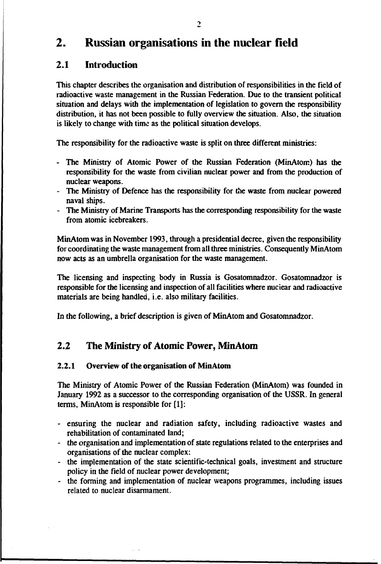# **2. Russian organisations in the nuclear Held**

# **2.1 Introduction**

This chapter describes the organisation and distribution of responsibilities in the field of radioactive waste management in the Russian Federation. Due to the transient political situation and delays with the implementation of legislation to govern the responsibility distribution, it has not been possible to fully overview the situation. Also, the situation is likely to change with time as the political situation develops.

The responsibility for the radioactive waste is split on three different ministries:

- The Ministry of Atomic Power of the Russian Federation (MinAtom) has the responsibility for the waste from civilian nuclear power and from the production of nuclear weapons.
- The Ministry of Defence has the responsibility for the waste from nuclear powered naval ships.
- The Ministry of Marine Transports has the corresponding responsibility for the waste from atomic icebreakers.

MinAtom was in November 1993, through a presidential decree, given the responsibility for coordinating the waste management from ail three ministries. Consequently MinAtom now acts as an umbrella organisation for the waste management.

The licensing and inspecting body in Russia is Gosatomnadzor. Gosatomnadzor is responsible for the licensing and inspection of all facilities where nuciear and radioactive materials are being handled, i.e. also military facilities.

In the following, a brief description is given of MinAtom and Gosatomnadzor.

# **2.2 The Ministry of Atomic Power, MinAtom**

## 2.2.1 **Overview** of **the organisation** of **MinAtom**

The Ministry of Atomic Power of the Russian Federation (MinAtom) was founded in January 1992 as a successor to the corresponding organisation of the USSR. In general terms, MinAtom is responsible for [1]:

- ensuring the nuclear and radiation safety, including radioactive wastes and rehabilitation of contaminated land;
- the organisation and implementation of state regulations related to the enterprises and organisations of the nuclear complex:
- the implementation of the state scientific-technical goals, investment and structure policy in the field of nuclear power development;
- the forming and implementation of nuclear weapons programmes, including issues related to nuclear disarmament.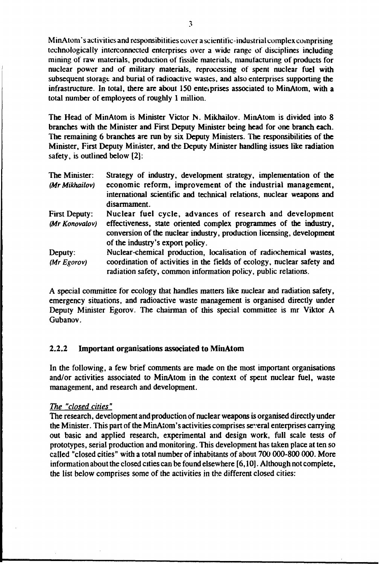**MinAtom's activities and responsibilities cover a scientific-industrial complex comprising technologically interconnected enterprises over a wide range of disciplines including mining of raw materials, production of fissile materials, manufacturing of products for nuclear power and of military materials, reprocessing of spent nuclear fuel with subsequent storage and burial of radioactive wastes, and also enterprises supporting the infrastructure. In total, there are about 150 enterprises associated to MinAtom, with a total number of employees of roughly 1 million.**

**The Head of MinAtom is Minister Victor N. Mikhailov. MinAtom is divided into 8 branches with the Minister and First Deputy Minister being head for one branch each. The remaining 6 branches are run by six Deputy Ministers. The responsibilities of the Minister, First Deputy Minister, and the Deputy Minister handling issues like radiation safety, is outlined below [2]:**

| Strategy of industry, development strategy, implementation of the                                                                                                              |
|--------------------------------------------------------------------------------------------------------------------------------------------------------------------------------|
| economic reform, improvement of the industrial management,<br>international scientific and technical relations, nuclear weapons and<br>disarmament.                            |
| Nuclear fuel cycle, advances of research and development                                                                                                                       |
| effectiveness, state oriented complex programmes of the industry,<br>conversion of the nuclear industry, production licensing, development<br>of the industry's export policy. |
| Nuclear-chemical production, localisation of radiochemical wastes,                                                                                                             |
| coordination of activities in the fields of ecology, nuclear safety and<br>radiation safety, common information policy, public relations.                                      |
|                                                                                                                                                                                |

**A special committee for ecology that handles matters like nuclear and radiation safety, emergency situations, and radioactive waste management is organised directly under Deputy Minister Egorov. The chairman of this special committee is mr Viktor A Gubanov.**

#### **2.2.2 Important organisations associated to MinAtom**

**In the following, a few brief comments are made on the most important organisations and/or activities associated to MinAtom in the context of spent nuclear fuel, waste management, and research and development.**

#### *The "closed cities"*

**The research, development and production of nuclear weapons is organised directly under the Minister. This part of the MinAtom's activities comprises several enterprises carrying out basic and applied research, experimental and design work, full scale tests of prototypes, serial production and monitoring. This development has taken place at ten so called "closed cities" with a total number of inhabitants of about 700 000-800 000. More information about the closed cities can be found elsewhere [6,10]. Although not complete, the list below comprises some of the activities in the different closed cities:**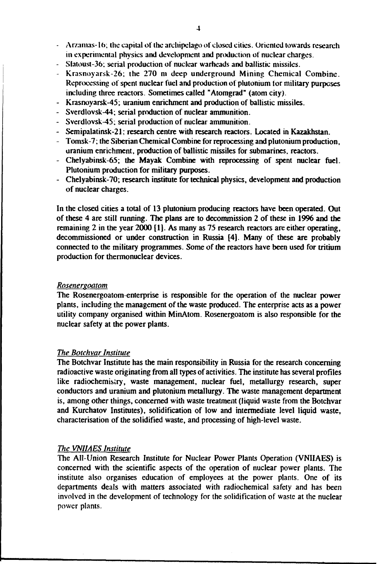- **Arzamas-1(>; (he capital of the archipelago of closed cities. Oriented towards research in experimental physics and development and production of nuclear charges.**
- **Slatoust-36; serial production of nuclear warheads and ballistic missiles.**
- **Krasnoyarsk-26; the 270 m deep underground Mining Chemical Combine. Reprocessing of spent nuclear fuel and production of plutonium for military purposes including three reactors. Sometimes called "Atomgrad" (atom city).**
- **Krasnoyarsk-45; uranium enrichment and production of ballistic missiles.**
- **Sverdlovsk-44; serial production of nuclear ammunition.**
- **Sverdlovsk-45; serial production of nuclear ammunition.**
- **Semipalatinsk-21; research centre with research reactors. Located in Kazakhstan.**
- **Tomsk-7; the Siberian Chemical Combine for reprocessing and plutonium production, uranium enrichment, production of ballistic missiles for submarines, reactors.**
- **Chelyabinsk-65; the Mayak Combine with reprocessing of spent nuclear fuel. Plutonium production for military purposes.**
- **Chelyabinsk-70; research institute for technical physics, development and production of nuclear charges.**

**In the closed cities a total of 13 plutonium producing reactors have been operated. Out of these 4 are still running. The plans are to decommission 2 of these in 1996 and the remaining 2 in the year 2000 [1]. As many as 75 research reactors are either operating, decommissioned or under construction in Russia [4]. Many of these are probably connected to the military programmes. Some of the reactors have been used for tritium production for thermonuclear devices.**

#### *Rosenergoatom*

**The Rosenergoatom-enterprise is responsible for the operation of the nuclear power plants, including the management of the waste produced. The enterprise acts as a power utility company organised within MinAtom. Rosenergoatom is also responsible for the nuclear safety at the power plants.**

#### *Vie Botchvar Institute*

**The Botchvar Institute has the main responsibility in Russia for the research concerning radioactive waste originating from all types of activities. The institute has several profiles like radiochemistry, waste management, nuclear fuel, metallurgy research, super conductors and uranium and plutonium metallurgy. The waste management department is, among other things, concerned with waste treatment (liquid waste from the Botchvar and Kurchatov Institutes), solidification of low and intermediate level liquid waste, characterisation of the solidified waste, and processing of high-level waste.**

#### *The VN11AES Institute*

**The All-Union Research Institute for Nuclear Power Plants Operation (VNIIAES) is concerned with the scientific aspects of the operation of nuclear power plants. The institute also organises education of employees at the power plants. One of its departments deals with matters associated with radiochemical safety and has been involved in the development of technology for the solidification of waste at the nuclear power plants.**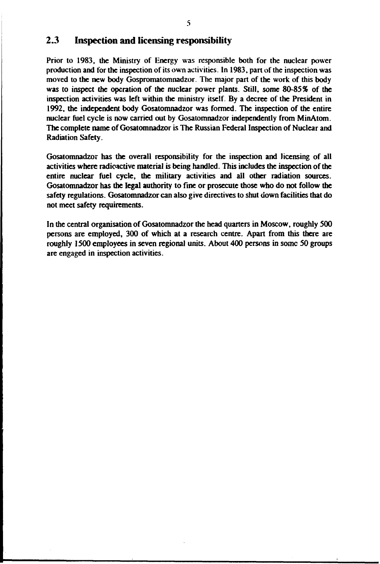## **2.3 Inspection and licensing responsibility**

**Prior to 1983, the Ministry of Energy was responsible both for the nuclear power production and for the inspection of its own activities. In 1983. pan of the inspection was moved to the new body Gospromatomnadzor The major part of the work of this body was to inspect the operation of the nuclear power plants. Still, some 80-85% of the inspection activities was left within the ministry itself. By a decree of the President in 1992, the independent body Gosatomnadzor was formed. The inspection of the entire nuclear fuel cycle is now carried out by Gosatomnadzor independently from MinAtom. The complete name of Gosatomnadzor is The Russian Federal Inspection of Nuclear and Radiation Safety.**

**Gosatomnadzor has the overall responsibility for the inspection and licensing of all activities where radioactive material** *is* **being handled. This includes the inspection of the entire nuclear fuel cycle, the military activities and all other radiation sources. Gosatomnadzor has the legal authority to fine or prosecute those who do not follow the safety regulations. Gosatomnadzor can also give directives to shut down facilities that do not meet safety requirements.**

**In the central organisation of Gosatomnadzor the head quarters in Moscow, roughly 500 persons are employed, 300 of which at a research centre. Apart from this there are roughly 1500 employees in seven regional units. About 400 persons in some 50 groups are engaged in inspection activities.**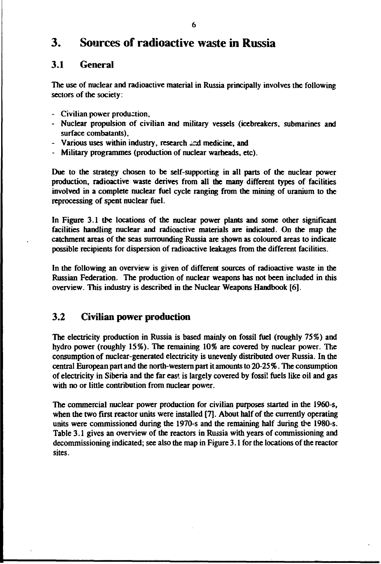# **3. Sources of radioactive waste in Russia**

# **3.1 General**

**The use of nuclear and radioactive material in Russia principally involves the following sectors of the society:**

- **Civilian power production,**
- **Nuclear propulsion of civilian and military vessels (icebreakers, submarines and surface combatants),**
- **Various uses within industry, research und medicine, and**
- **Military programmes (production of nuclear warheads, etc).**

**Due to the strategy chosen to be self-supporting in all parts of the nuclear power production, radioactive waste derives from all the many different types of facilities involved in a complete nuclear fuel cycle ranging from the mining of uranium to the reprocessing of spent nuclear fuel.**

**In Figure 3.1 the locations of the nuclear power plants and some other significant facilities handling nuclear and radioactive materials are indicated. On the map the catchment areas of the seas surrounding Russia are shown as coloured areas to indicate possible recipients for dispersion of radioactive leakages from the different facilities.**

**In the following an overview is given of different sources of radioactive waste in the Russian Federation. The production of nuclear weapons has not been included in this overview. This industry is described in the Nuclear Weapons Handbook [6].**

# **3.2 Civilian power production**

**The electricity production in Russia is based mainly on fossil fuel (roughly 75%) and hydro power (roughly 15%). The remaining 10% are covered by nuclear power. The consumption of nuclear-generated electricity is unevenly distributed over Russia. In the central European part and the north-western part it amounts to 20-25** *%.* **The consumption of electricity in Siberia and the far east is largely covered by fossil fuels like oil and gas with no or little contribution from nuclear power.**

**The commercial nuclear power production for civilian purposes started in the 1960-s, when the two first reactor units were installed [7]. About half of the currently operating units were commissioned during the 1970-s and the remaining half during the 1980s. Table 3.1 gives an overview of the reactors in Russia with years of commissioning and decommissioning indicated; see also the map in Figure 3.1 for the locations of the reactor sites.**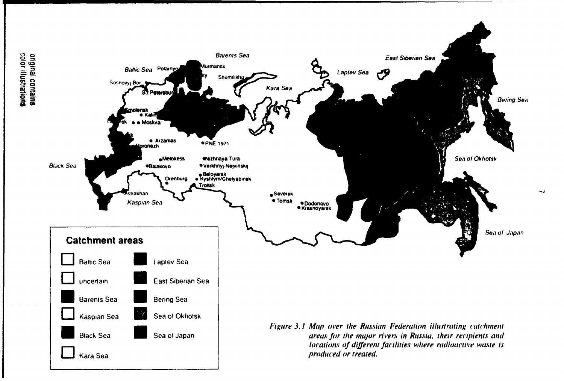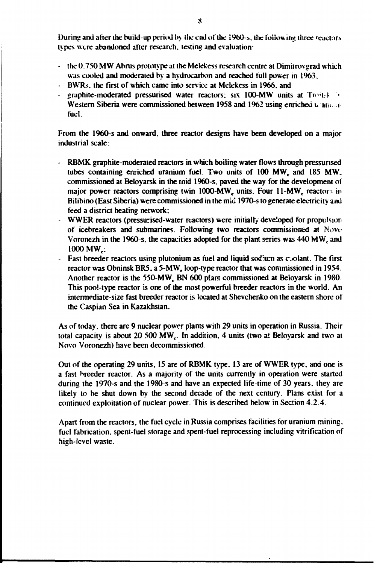During and after the build-up period by the end of the 1960-s, the following three reactors **types were abandoned after research, testing and evaluation**

- **the 0.750 MW Abrus prototype at the Melekess research centre at Dimitrovgrad which was cooled and moderated by a hydrocarbon and reached full power in 1963.**
- **BWRs. the first of which came into service at Melekess in 1966. and**
- **graphite-moderated pressurised water reactors: six 100-MW units at Tro-t.4 ' Western Siberia were commissioned between 1958 and 1962 using enriched u ain. i fuel.**

From the 1960-s and onward, three reactor designs have been developed on a major **industrial scale:**

- **RBMK graphite-moderated reactors in which boiling water flows through pressurised** tubes containing enriched uranium fuel. Two units of 100 MW<sub>c</sub> and 185 MW<sub>c</sub> **commissioned at Beloyarsk in the rnid 1960-s. paved the way for the development ot major power reactors comprising twin 1000-MW<sub>c</sub> units. Four 11-MW<sub>c</sub> reactors in Bilibino (East Siberia) were commissioned in the mid 1970-s to generate electricity and feed a district heating network:**
- **WWER reactors (pressurised-water reactors) were initially developed for propulsion of icebreakers and submarines. Following two reactors commissioned at Novc** Voronezh in the 1960-s, the capacities adopted for the plant series was 440 MW<sub>c</sub> and **1000 MW<sub>c</sub>:**
- Fast breeder reactors using plutonium as fuel and liquid sodjum as coolant. The first reactor was Obninsk BR5, a 5-MW<sub>c</sub> loop-type reactor that was commissioned in 1954. Another reactor is the 550-MW<sub>r</sub> BN 600 plant commissioned at Beloyarsk in 1980. **This pool-type reactor is one of the most powerful breeder reactors in the world. An intermediate-size fast breeder reactor is located at Shevchenko on the eastern shore of the Caspian Sea in Kazakhstan.**

**As of today, there are 9 nuclear power plants with 29 units in operation in Russia. Their** total capacity is about 20 500 MW<sub>c</sub>. In addition. 4 units (two at Beloyarsk and two at **Novo Voronezh) have been decommissioned.**

**Out of the operating 29 units, 15 are of RBMK type. 13 are of WWER type, and one is a fast breeder reactor. As a majority of the units currently in operation were started** during the 1970-s and the 1980-s and have an expected life-time of 30 years, they are **likely to be shut down by the second decade of the next century. Plans exist for a continued exploitation of nuclear power. This is described below in Section 4.2.4.**

**Apart from the reactors, the fuel cycle in Russia comprises facilities for uranium mining, fuel fabrication, spent-fuel storage and spent-fuel reprocessing including vitrification of hieh-level waste.**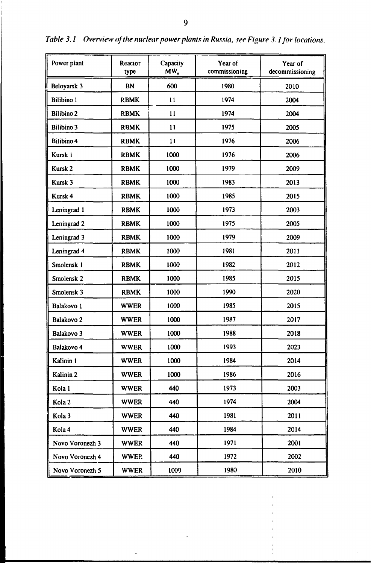| Power plant           | Reactor<br>type | Capacity<br>MW. | Year of<br>commissioning | Year of<br>decommissioning |
|-----------------------|-----------------|-----------------|--------------------------|----------------------------|
| Beloyarsk 3           | <b>BN</b>       | 600             | 1980                     | 2010                       |
| <b>Bilibino</b> I     | <b>RBMK</b>     | 11              | 1974                     | 2004                       |
| <b>Bilibino 2</b>     | <b>RBMK</b>     | 11              | 1974                     | 2004                       |
| <b>Bilibino 3</b>     | <b>RBMK</b>     | $\mathbf{11}$   | 1975                     | 2005                       |
| <b>Bilibino 4</b>     | <b>RBMK</b>     | 11              | 1976                     | 2006                       |
| Kursk i               | <b>RBMK</b>     | 1000            | 1976                     | 2006                       |
| Kursk <sub>2</sub>    | <b>RBMK</b>     | 1000            | 1979                     | 2009                       |
| Kursk <sub>3</sub>    | <b>RBMK</b>     | 1000            | 1983                     | 2013                       |
| Kursk 4               | <b>RBMK</b>     | 1000            | 1985                     | 2015                       |
| Leningrad 1           | <b>RBMK</b>     | 1000            | 1973                     | 2003                       |
| Leningrad 2           | <b>RBMK</b>     | 1000            | 1975                     | 2005                       |
| Leningrad 3           | <b>RBMK</b>     | 1000            | 1979                     | 2009                       |
| Leningrad 4           | <b>RBMK</b>     | 1000            | 1981                     | 2011                       |
| Smolensk 1            | <b>RBMK</b>     | 1000            | 1982                     | 2012                       |
| Smolensk <sub>2</sub> | <b>RBMK</b>     | 1000            | 1985                     | 2015                       |
| Smolensk <sub>3</sub> | <b>RBMK</b>     | 1000            | 1990                     | 2020                       |
| Balakovo 1            | <b>WWER</b>     | 1000            | 1985                     | 2015                       |
| Balakovo 2            | <b>WWER</b>     | 1000            | 1987                     | 2017                       |
| Balakovo 3            | <b>WWER</b>     | 1000            | 1988                     | 2018                       |
| Balakovo 4            | <b>WWER</b>     | 1000            | 1993                     | 2023                       |
| Kalinin 1             | <b>WWER</b>     | 1000            | 1984                     | 2014                       |
| Kalinin <sub>2</sub>  | <b>WWER</b>     | 1000            | 1986                     | 2016                       |
| Kola 1                | <b>WWER</b>     | 440             | 1973                     | 2003                       |
| Kola 2                | <b>WWER</b>     | 440             | 1974                     | 2004                       |
| Kola 3                | <b>WWER</b>     | 440             | 1981                     | 2011                       |
| Kola 4                | <b>WWER</b>     | 440             | 1984                     | 2014                       |
| Novo Voronezh 3       | <b>WWER</b>     | 440             | 1971                     | 2001                       |
| Novo Voronezh 4       | <b>WWEP.</b>    | 440             | 1972                     | 2002                       |
| Novo Voronezh 5       | <b>WWER</b>     | 1009            | 1980                     | 2010                       |

 $\overline{ }$ 

*Table 3.1 Overview of the nuclear power plants in Russia, see Figure 3.1 for locations.*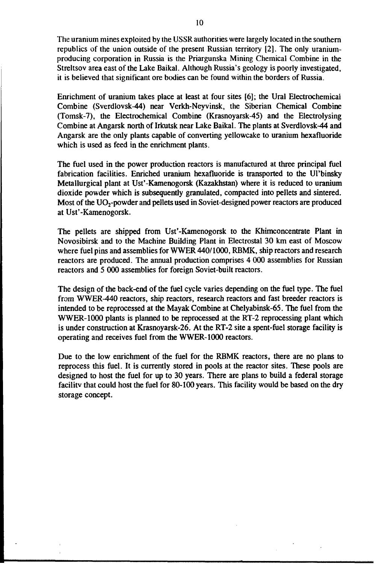The uranium mines exploited by the USSR authorities were largely located in the southern republics of the union outside of the present Russian territory [2]. The only uraniumproducing corporation in Russia is the Priargunska Mining Chemical Combine in the Streltsov area east of the Lake Baikal. Although Russia's geology is poorly investigated, it is believed that significant ore bodies can be found within the borders of Russia.

Enrichment of uranium takes place at least at four sites [6]; the Ural Electrochemical Combine (Sverdlovsk-44) near Verkh-Neyvinsk, the Siberian Chemical Combine (Tomsk-7), the Electrochemical Combine (Krasnoyarsk-45) and the Electrolysing Combine at Angarsk north of Irkutsk near Lake Baikal. The plants at Sverdlovsk-44 and Angarsk are the only plants capable of converting yellowcake to uranium hexafluoride which is used as feed in the enrichment plants.

The fuel used in the power production reactors is manufactured at three principal fuel fabrication facilities. Enriched uranium hexafluoride is transported to the Ul'binsky Metallurgical plant at Ust'-Kamenogorsk (Kazakhstan) where it is reduced to uranium dioxide powder which is subsequently granulated, compacted into pellets and sintered. Most of the UO<sub>2</sub>-powder and pellets used in Soviet-designed power reactors are produced at Ust'-Kamenogorsk.

The pellets are shipped from Ust'-Kamenogorsk to the Khimconcentrate Plant in Novosibirsk and to the Machine Building Plant in Electrostal 30 km east of Moscow where fuel pins and assemblies for WWER 440/1000, RBMK, ship reactors and research reactors are produced. The annual production comprises 4 000 assemblies for Russian reactors and 5 000 assemblies for foreign Soviet-built reactors.

The design of the back-end of the fuel cycle varies depending on the fuel type. The fuel from WWER-440 reactors, ship reactors, research reactors and fast breeder reactors is intended to be reprocessed at the Mayak Combine at Chelyabinsk-65. The fuel from the WWER-1000 plants is planned to be reprocessed at the RT-2 reprocessing plant which is under construction at Krasnoyarsk-26. At the RT-2 site a spent-fuel storage facility is operating and receives fuel from the WWER-1000 reactors.

Due to the low enrichment of the fuel for the RBMK reactors, there are no plans to reprocess this fuel. It is currently stored in pools at the reactor sites. These pools are designed to host the fuel for up to 30 years. There are plans to build a federal storage facility that could host the fuel for 80-100 years. This facility would be based on the dry storage concept.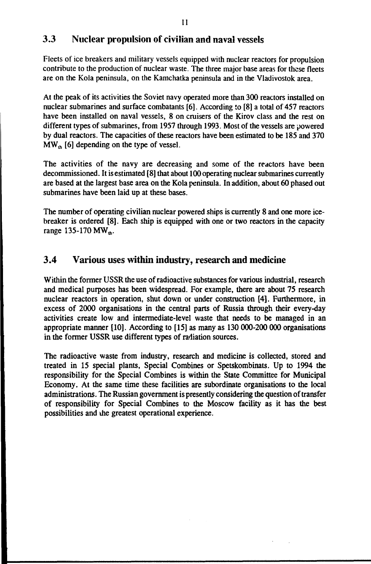# 3.3 Nuclear propulsion of civilian and naval vessels

Fleets of ice breakers and military vessels equipped with nuclear reactors for propulsion contribute to the production of nuclear waste. The three major base areas for these fleets are on the Kola peninsula, on the Kamchatka peninsula and in the Vladivostok area.

At the peak of its activities the Soviet navy operated more than 300 reactors installed on nuclear submarines and surface combatants [6]. According to [8] a total of 457 reactors have been installed on naval vessels, 8 on cruisers of the Kirov class and the rest on different types of submarines, from 1957 through 1993. Most of the vessels are powered by dual reactors. The capacities of these reactors have been estimated to be 185 and 370  $MW<sub>th</sub>$  [6] depending on the type of vessel.

The activities of the navy are decreasing and some of the reactors have been decommissioned. It is estimated [8] that about 100 operating nuclear submarines currently are based at the largest base area on the Kola peninsula. In addition, about 60 phased out submarines have been laid up at these bases.

The number of operating civilian nuclear powered ships is currently 8 and one more icebreaker is ordered [8]. Each ship is equipped with one or two reactors in the capacity range 135-170 MW<sub>th</sub>.

# 3.4 Various uses within industry, research and medicine

Within the former USSR the use of radioactive substances for various industrial, research and medical purposes has been widespread. For example, there are about 75 research nuclear reactors in operation, shut down or under construction [4]. Furthermore, in excess of 2000 organisations in the central parts of Russia through their every-day activities create low and intermediate-level waste that needs to be managed in an appropriate manner [10]. According to [15] as many as 130 000-200 000 organisations in the former USSR use different types of radiation sources.

The radioactive waste from industry, research and medicine is collected, stored and treated in 15 special plants, Special Combines or Spetskombinats. Up to 1994 the responsibility for the Special Combines is within the State Committee for Municipal Economy. At the same time these facilities are subordinate organisations to the local administrations. The Russian government is presently considering the question of transfer of responsibility for Special Combines to the Moscow facility as it has the best possibilities and the greatest operational experience.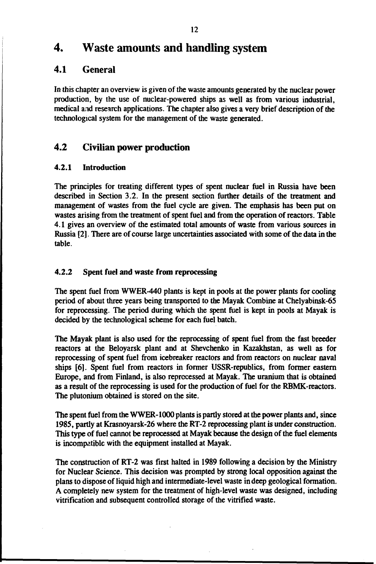# **4. Waste amounts and handling system**

# **4.1 General**

In this chapter an overview is given of the waste amounts generated by the nuclear power production, by the use of nuclear-powered ships as well as from various industrial, medical and research applications. The chapter also gives a very brief description of the technological system for the management of the waste generated.

# **4.2 Civilian power production**

## 4.2.1 Introduction

The principles for treating different types of spent nuclear fuel in Russia have been described in Section 3.2. In the present section further details of the treatment and management of wastes from the fuel cycle are given. The emphasis has been put on wastes arising from the treatment of spent fuel and from the operation of reactors. Table 4.1 gives an overview of the estimated total amounts of waste from various sources in Russia [2]. There are of course large uncertainties associated with some of the data in the table.

#### 4.2.2 Spent fuel and waste from reprocessing

The spent fuel from WWER-440 plants is kept in pools at the power plants for cooling period of about three years being transported to the Mayak Combine at Chelyabinsk-65 for reprocessing. The period during which the spent fuel is kept in pools at Mayak is decided by the technological scheme for each fuel batch.

The Mayak plant is also used for the reprocessing of spent fuel from the fast breeder reactors at the Beloyarsk plant and at Shevchenko in Kazakhstan, as well as for reprocessing of spent fuel from icebreaker reactors and from reactors on nuclear naval ships [6]. Spent fuel from reactors in former USSR-republics, from former eastern Europe, and from Finland, is also reprocessed at Mayak. The uranium that is obtained as a result of the reprocessing is used for the production of fuel for the RBMK-reactors. The plutonium obtained is stored on the site.

The spent fuel from the WWER-1000 plants is partly stored at the power plants and, since 1985, partly at Krasnoyarsk-26 where the RT-2 reprocessing plant is under construction. This type of fuel cannot be reprocessed at Mayak because the design of the fuel elements is incompatible with the equipment installed at Mayak.

The construction of RT-2 was first halted in 1989 following a decision by the Ministry for Nuclear Science. This decision was prompted by strong local opposition against the plans to dispose of liquid high and intermediate-level waste in deep geological formation. A completely new system for the treatment of high-level waste was designed, including vitrification and subsequent controlled storage of the vitrified waste.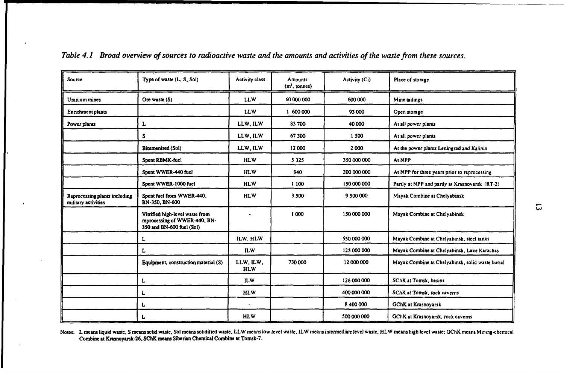| Source                                               | Type of waste (L, S, Sol)                                                                     | <b>Activity class</b>   | Amounts<br>$(m3, \text{ tonnes})$ | Activity (Ci) | Place of storage                                 |
|------------------------------------------------------|-----------------------------------------------------------------------------------------------|-------------------------|-----------------------------------|---------------|--------------------------------------------------|
| Uranium mines                                        | Ore waste (S)                                                                                 | <b>LLW</b>              | 60 000 000                        | 600 000       | Mine tailings                                    |
| Enrichment plants                                    |                                                                                               | <b>LLW</b>              | 1 600 000                         | 93 000        | Open storage                                     |
| Power plants                                         | L                                                                                             | LLW, ILW                | 83700                             | 40 000        | At all power plants                              |
|                                                      | s                                                                                             | LLW, ILW                | 67300                             | 1 500         | At all power plants                              |
|                                                      | Bitumenised (Sol)                                                                             | LLW, ILW                | 12000                             | 2000          | At the power plants Leningrad and Kalinin        |
|                                                      | Spent RBMK-fuel                                                                               | <b>HLW</b>              | 5 3 2 5                           | 350 000 000   | At NPP                                           |
|                                                      | Spent WWER-440 fuel                                                                           | <b>HLW</b>              | 940                               | 200 000 000   | At NPP for three years prior to reprocessing     |
|                                                      | Spent WWER-1000 fuel                                                                          | <b>HLW</b>              | 1 100                             | 150 000 000   | Partly at NPP and partly at Krasnoyarsk (RT-2)   |
| Reprocessing plants including<br>military activities | Spent fuel from WWER-440,<br>BN-350, BN-600                                                   | <b>HLW</b>              | 3 500                             | 9 500 000     | Mayak Combine at Chelyabinsk                     |
|                                                      | Vitrified high-level waste from<br>reprocessing of WWER-440, BN-<br>350 and BN-600 fuel (Sol) |                         | 1000                              | 150 000 000   | Mayak Combine at Chelyabinsk                     |
|                                                      | L                                                                                             | ILW. HLW                |                                   | 550 000 000   | Mayak Combine at Chelyabinsk, steel tanks        |
|                                                      | L                                                                                             | <b>ILW</b>              |                                   | 125 000 000   | Mayak Combine at Chelyabinsk, Lake Karachay      |
|                                                      | Equipment, construction material (S)                                                          | LLW. ILW.<br><b>HLW</b> | 730 000                           | 12 000 000    | Mayak Combine at Chelyabinsk, solid waste burial |
|                                                      | L                                                                                             | <b>ILW</b>              |                                   | 126 000 000   | SChK at Tomsk, basins                            |
|                                                      | L                                                                                             | <b>HLW</b>              |                                   | 400 000 000   | SChK at Tomsk, rock caverns                      |
|                                                      | L                                                                                             | $\bullet$               |                                   | 8 400 000     | <b>GChK at Krasnoyarsk</b>                       |
|                                                      | L                                                                                             | <b>HLW</b>              |                                   | 500 000 000   | GChK at Krasnoyarsk, rock caverns                |

*Table 4.1 Broad overview of sources to radioactive waste and the amounts and activities of the waste from these sources.*

Notes: L means liquid waste, S means solid waste, Sol means solidified waste, LLW means low level waste, ILW means intermediate level waste, HLW means high level waste; GChK means Mining-chemical Combine at Krasnoyarsk-26, SChK **means** Siberian Chemical Combine at Tomsk-7.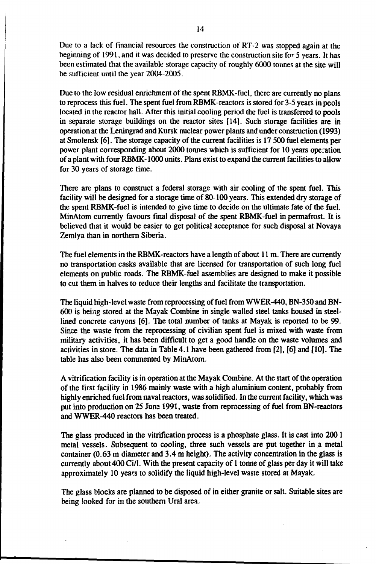Due to a lack of financial resources the construction ot RT-2 was stopped again at the beginning of 1991, and it was decided to preserve the construction site for 5 years. It has been estimated that the available storage capacity of roughly 6000 tonnes at the site will be sufficient until the year 2004-2005.

Due to the low residual enrichment of the spent RBMK-fuel, there are currently no plans to reprocess this fuel. The spent fuel from RBMK-reactors is stored for 3-5 years in pools located in the reactor hall. After this initial cooling period the fuel is transferred to pools in separate storage buildings on the reactor sites [14]. Such storage facilities are in operation at the Leningrad and Kursk nuclear power plants and under construction (1993) at Smolensk [6]. The storage capacity of the current facilities is 17 500 fuel elements per power plant corresponding about 2000 tonnes which is sufficient for 10 years operation of a plant with four RBMK-1000 units. Plans exist to expand the current facilities to allow for 30 years of storage time.

There are plans to construct a federal storage with air cooling of the spent fuel. This facility will be designed for a storage time of 80-100 years. This extended dry storage of the spent RBMK-fuel is intended to give time to decide on the ultimate fate of the fuel. MinAtom currently favours final disposal of the spent RBMK-fuel in permafrost. It is believed that it would be easier to get political acceptance for such disposal at Novaya Zemlya than in northern Siberia.

The fuel elements in the RBMK-reactors have a length of about 11 m. There are currently no transportation casks available that are licensed for transportation of such long fuel elements on public roads. The RBMK-fuel assemblies are designed to make it possible to cut them in halves to reduce their lengths and facilitate the transportation.

The liquid high-level waste from reprocessing of fuel from WWER-440, BN-350 and BN-600 is being stored at the Mayak Combine in single walled steel tanks housed in steellined concrete canyons [6]. The total number of tanks at Mayak is reported to be 99. Since the waste from the reprocessing of civilian spent fuel is mixed with waste from military activities, it has been difficult to get a good handle on the waste volumes and activities in store. The data in Table 4.1 have been gathered from [2], [6] and [10]. The table has also been commented by MinAtom.

A vitrification facility is in operation at the Mayak Combine. At the start of the operation of the first facility in 1986 mainly waste with a high aluminium content, probably from highly enriched fuel from naval reactors, was solidified. In the current facility, which was put into production on 25 Juns 1991, waste from reprocessing of fuel from BN-reactors and WWER-440 reactors has been treated.

The glass produced in the vitrification process is a phosphate glass. It is cast into 200 1 metal vessels. Subsequent to cooling, three such vessels are put together in a metal container (0.63 m diameter and 3.4 m height). The activity concentration in the glass is currently about 400 Ci/1. With the present capacity of 1 tonne of glass per day it will take approximately 10 years to solidify the liquid high-level waste stored at Mayak.

The glass blocks are planned to be disposed of in either granite or salt. Suitable sites are being looked for in the southern Ural area.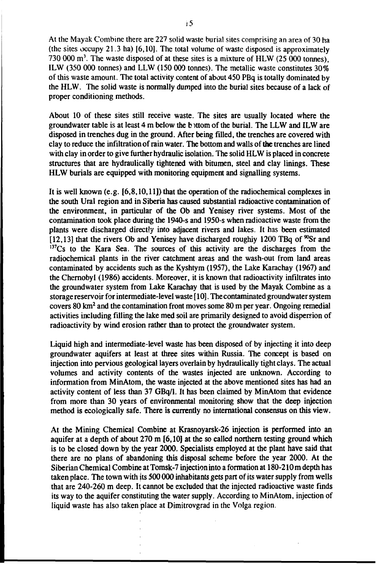At the Mayak Combine there are 227 solid waste burial sites comprising an area of 30 ha (the sites occupy 21.3 ha) [6,10]. The total volume of waste disposed is approximately 730 000  $\mathrm{m}^3$ . The waste disposed of at these sites is a mixture of HLW (25 000 tonnes), ILW (350 000 tonnes) and LLW (150 000 tonnes). The metallic waste constitutes 30% of this waste amount. The total activity content of about 450 PBq is totally dominated by the HLW. The solid waste is normally dumped into the burial sites because of a lack of proper conditioning methods.

About 10 of these sites still receive waste. The sites are usually located where the groundwater table is at least 4 m below the bittom of the burial. The LLW and ILW are disposed in trenches dug in the ground. After being filled, the trenches are covered with clay to reduce the infiltration of rain water. The bottom and walls of the trenches are lined with clay in order to give further hydraulic isolation. The solid HLW is placed in concrete structures that are hydraulically tightened with bitumen, steel and clay linings. These HLW burials are equipped with monitoring equipment and signalling systems.

It is well known (e.g. [6,8,10,11]) that the operation of the radiochemical complexes in the south Ural region and in Siberia has caused substantial radioactive contamination of the environment, in particular of the Ob and Yenisey river systems. Most of the contamination took place during the 1940-s and 1950-s when radioactive waste from the plants were discharged directly into adjacent rivers and lakes. It has been estimated [12,13] that the rivers Ob and Yenisey have discharged roughly 1200 TBq of  $^{90}Sr$  and <sup>137</sup>Cs to the Kara Sea. The sources of this activity are the discharges from the radiochemical plants in the river catchment areas and the wash-out from land areas contaminated by accidents such as the Kyshtym (1957), the Lake Karachay (1967) and the Chernobyl (1986) accidents. Moreover, it is known that radioactivity infiltrates into the groundwater system from Lake Karachay that is used by the Mayak Combine as a storage reservoir for intermediate-level waste [ 10]. The contaminated groundwater system covers 80 km<sup>2</sup> and the contamination front moves some 80 m per year. Ongoing remedial activities including filling the lake med soil are primarily designed to avoid dispersion of radioactivity by wind erosion rather than to protect the groundwater system.

Liquid high and intermediate-level waste has been disposed of by injecting it into deep groundwater aquifers at least at three sites within Russia. The concept is based on injection into pervious geological layers overlain by hydraulically tight clays. The actual volumes and activity contents of the wastes injected are unknown. According to information from MinAtom, the waste injected at the above mentioned sites has had an activity content of less than 37 GBq/1. It has been claimed by MinAtom that evidence from more than 30 years of environmental monitoring show that the deep injection method is ecologically safe. There is currently no international consensus on this view.

At the Mining Chemical Combine at Krasnoyarsk-26 injection is performed into an aquifer at a depth of about 270 m [6,10] at the so called northern testing ground which is to be closed down by the year 2000. Specialists employed at the plant have said that there are no plans of abandoning this disposal scheme before the year 2000. At the Siberian Chemical Combine at Tomsk-7 injection into a formation at 180-210 m depth has taken place. The town with its 500 000 inhabitants gets part of its water supply from wells that are 240-260 m deep. It cannot be excluded that the injected radioactive waste finds its way to the aquifer constituting the water supply. According to MinAtom, injection of liquid waste has also taken place at Dimitrovgrad in the Volga region.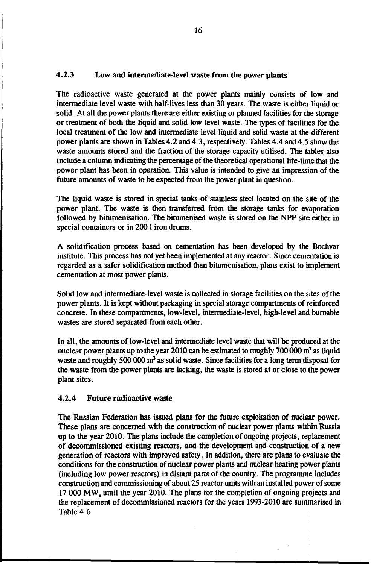## 4.2.3 Low and intermediate-level waste from the power plants

The radioactive waste generated at the power plants mainly consists of low and intermediate level waste with half-lives less than 30 years. The waste is either liquid or solid. At all the power plants there are either existing or planned facilities for the storage or treatment of both the liquid and solid low level waste. The types of facilities for the local treatment of the low and intermediate level liquid and solid waste at the different power plants are shown in Tables 4.2 and 4.3, respectively. Tables 4.4 and 4.S show the waste amounts stored and the fraction of the storage capacity utilised. The tables also include a column indicating the percentage of the theoretical operational life-time that the power plant has been in operation. This value is intended to give an impression of the future amounts of waste to be expected from the power plant in question.

The liquid waste is stored in special tanks of stainless steel located on the site of the power plant. The waste is then transferred from the storage tanks for evaporation followed by bitumenisation. The bitumenised waste is stored on the NPP site either in special containers or in 2001 iron drums.

A solidification process based on cementation has been developed by the Bochvar institute. This process has not yet been implemented at any reactor. Since cementation is regarded as a safer solidification method than bitumenisation, plans exist to implement cementation at most power plants.

Solid low and intermediate-level waste is collected in storage facilities on the sites of the power plants. It is kept without packaging in special storage compartments of reinforced concrete. In these compartments, low-level, intermediate-level, high-level and burnable wastes are stored separated from each other.

In all, the amounts of low-level and intermediate level waste that will be produced at the nuclear power plants up to the year 2010 can be estimated to roughly 700 000  $m<sup>3</sup>$  as liquid waste and roughly 500 000 m<sup>3</sup> as solid waste. Since facilities for a long term disposal for the waste from the power plants are lacking, the waste is stored at or close to the power plant sites.

#### **4.2.4 Future radioactive** waste

The Russian Federation has issued plans for the future exploitation of nuclear power. These plans are concerned with the construction of nuclear power plants within Russia up to the year 2010. The plans include the completion of ongoing projects, replacement of decommissioned existing reactors, and the development and construction of a new generation of reactors with improved safety. In addition, there are plans to evaluate the conditions for the construction of nuclear power plants and nuclear heating power plants (including low power reactors) in distant parts of the country. The programme includes construction and commissioning of about 25 reactor units with an installed power of some 17 000 MW, until the year 2010. The plans for the completion of ongoing projects and the replacement of decommissioned reactors for the years 1993-2010 are summarised in Table 4.6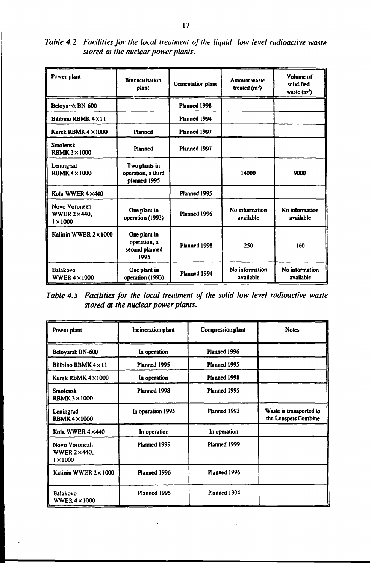*Table 4.2 Facilities for the local treatment of the liquid low level radioactive waste stored at the nuclear power plants.*

| Power plant                                            | <b>Bitu:nemisation</b><br>plant                        | <b>Cementation plant</b> | Amount waste<br>treated $(m^3)$ | Volume of<br>sclidified<br>waste $(m^3)$ |
|--------------------------------------------------------|--------------------------------------------------------|--------------------------|---------------------------------|------------------------------------------|
| Beloyarsk BN-600                                       |                                                        | Planned 1998             |                                 |                                          |
| Bilihino RBMK 4 x 11                                   |                                                        | Planned 1994             |                                 |                                          |
| Kursk RBMK $4 \times 1000$                             | <b>Planned</b>                                         | Planned 1997             |                                 |                                          |
| <b>Smolensk</b><br><b>RBMK 3×1000</b>                  | Planned                                                | Planned 1997             |                                 |                                          |
| Leningrad<br><b>RBMK 4×1000</b>                        | Two plants in<br>operation, a third<br>planned 1995    |                          | 14000                           | 9000                                     |
| Kola WWER 4 × 440                                      |                                                        | Planned 1995             |                                 |                                          |
| Novo Voronezh<br><b>WWER 2×440.</b><br>$1 \times 1000$ | One plant in<br>operation (1993)                       | Planned 1996             | No information<br>available     | No information<br>available              |
| Kalinin WWER 2×1000                                    | One plant in<br>operation, a<br>second planned<br>1995 | Planned 1998             | 250                             | 160                                      |
| <b>Balakovo</b><br>WWER $4 \times 1000$                | One plant in<br>operation (1993)                       | Planned 1994             | No information<br>available     | No information<br>available              |

*Table 4. i Facilities for the local treatment of the solid low level radioactive waste stored at the nuclear power plants.*

| Power plant                                               | Incineration plant | Compression plant | <b>Notes</b>                                    |
|-----------------------------------------------------------|--------------------|-------------------|-------------------------------------------------|
| Beloyarsk BN-600                                          | In operation       | Planned 1996      |                                                 |
| Bilibino RBMK $4 \times 11$                               | Planned 1995       | Planned 1995      |                                                 |
| Kursk RBMK $4 \times 1000$                                | In operation       | Planned 1998      |                                                 |
| <b>Smolensk</b><br><b>RBMK 3×1000</b>                     | Planned 1998       | Planned 1995      |                                                 |
| Leningrad<br>RBMK $4 \times 1000$                         | In operation 1995  | Planned 1995      | Waste is transported to<br>the Lenspets Combine |
| Kola WWER $4 \times 440$                                  | In operation       | In operation      |                                                 |
| Novo Voronezh<br>WWER $2 \times 440$ ,<br>$1 \times 1000$ | Planned 1999       | Planned 1999      |                                                 |
| Kalinin WWER 2×1000                                       | Planned 1996       | Planned 1996      |                                                 |
| Balakovo<br>WWER $4 \times 1000$                          | Planned 1995       | Planned 1994      |                                                 |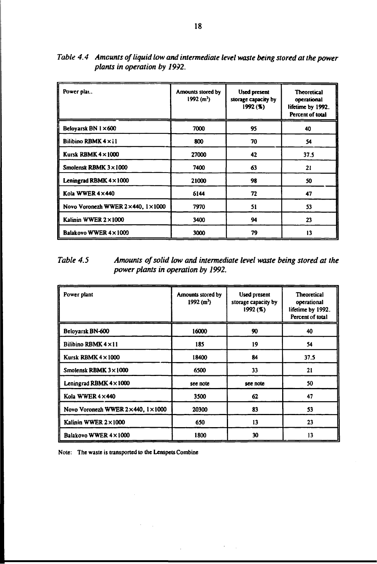| Power plat                                          | Amounts stored by<br>1992 (m <sup>3</sup> ) | <b>Used present</b><br>storage capacity by<br>1992(%) | <b>Theoretical</b><br>operational<br>lifetime by 1992.<br>Percent of total |
|-----------------------------------------------------|---------------------------------------------|-------------------------------------------------------|----------------------------------------------------------------------------|
| Beloyarsk BN 1 × 600                                | 7000                                        | 95                                                    | 40                                                                         |
| <b>Bilibino RBMK <math>4 \times 11</math></b>       | 800                                         | 70                                                    | 54                                                                         |
| Kursk RBMK $4 \times 1000$                          | 27000                                       | 42                                                    | 37.5                                                                       |
| Smolensk RBMK $3 \times 1000$                       | 7400                                        | 63                                                    | 21                                                                         |
| Leningrad RBMK $4 \times 1000$                      | 21000                                       | 98                                                    | 50                                                                         |
| Kola WWER 4×440                                     | 6144                                        | 72                                                    | 47                                                                         |
| Novo Voronezh WWER $2 \times 440$ , $1 \times 1000$ | 7970                                        | 51                                                    | 53                                                                         |
| Kalinin WWER $2 \times 1000$                        | 3400                                        | 94                                                    | 23                                                                         |
| Balakovo WWER 4×1009                                | 3000                                        | 79                                                    | 13                                                                         |

*Table 4.4 Amounts of liquid low and intermediate level waste being stored at the power plants in operation by 1992.*

*Table 4.5 Amounts of solid low and intermediate level waste being stored at the power plants in operation by 1992.*

| Power plant                                   | Amounts stored by<br>1992 (m <sup>3</sup> ) | <b>Used present</b><br>storage capacity by<br>1992(%) | <b>Theoretical</b><br>operational<br>lifetime by 1992.<br>Percent of total |
|-----------------------------------------------|---------------------------------------------|-------------------------------------------------------|----------------------------------------------------------------------------|
| Beloyarsk BN-600                              | 16000                                       | 90                                                    | 40                                                                         |
| <b>Bilibino RBMK <math>4 \times 11</math></b> | 185                                         | 19                                                    | 54                                                                         |
| Kursk RBMK $4 \times 1000$                    | 18400                                       | 84                                                    | 37.5                                                                       |
| Smolensk RBMK $3 \times 1000$                 | 6500                                        | 33                                                    | 21                                                                         |
| Leningrad RBMK $4 \times 1000$                | see note                                    | see note                                              | 50                                                                         |
| Kola WWER 4 × 440                             | 3500                                        | 62                                                    | 47                                                                         |
| Novo Voronezh WWER 2×440, 1×1000              | 20300                                       | 83                                                    | 53                                                                         |
| Kalinin WWER 2×1000                           | 650                                         | 13                                                    | 23                                                                         |
| Balakovo WWER 4×1000                          | 1800                                        | 30                                                    | 13                                                                         |

 $\gamma = 1$ 

Note: The waste is transported to the Lenspets Combine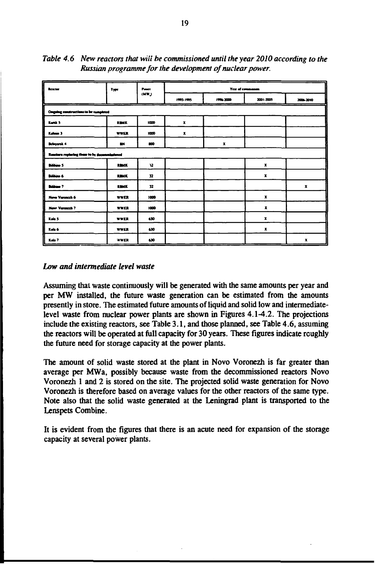| <b>Reactor</b>                                | Type        | Power        |                  | Year of commission |                    |              |
|-----------------------------------------------|-------------|--------------|------------------|--------------------|--------------------|--------------|
|                                               |             | (MW)         | (99) 1995        | 1996-2000          | 2001-2005          | 2006-2010    |
| Ongoing constructions to be completed         |             |              |                  |                    |                    |              |
| Kana 5                                        | <b>REMK</b> | 1000         | $\mathbf{x}$     |                    |                    |              |
| Kalinin 3                                     | <b>WWER</b> | 1000         | $\boldsymbol{x}$ |                    |                    |              |
| <b>Beloyarsk 4</b>                            | <b>BN</b>   | 800          |                  | $\mathbf x$        |                    |              |
| Reactors replacing these to be decommissioned |             |              |                  |                    |                    |              |
| <b>Billian S</b>                              | <b>REMK</b> | v            |                  |                    | $\mathbf{x}$       |              |
| Bibies 6                                      | <b>RBMK</b> | $\mathbf{n}$ |                  |                    | $\pmb{\chi}$       |              |
| <b>Biblion 7</b>                              | <b>REMX</b> | 32           |                  |                    |                    | $\pmb{\chi}$ |
| Nove Verencch 6                               | <b>WWER</b> | 1000         |                  |                    | $\pmb{\mathbf{x}}$ |              |
| New Verence) 7                                | WWER        | 1000         |                  |                    | x                  |              |
| Kola 5                                        | <b>WWER</b> | 630          |                  |                    | $\boldsymbol{x}$   |              |
| Kola 6                                        | <b>WWER</b> | 630          |                  |                    | $\mathbf{x}$       |              |
| Kola 7                                        | <b>WWER</b> | 630          |                  |                    |                    | $\pmb{\chi}$ |

*Table 4.6 New reactors that will be commissioned until the year 2010 according to the Russian programme for the development of nuclear power.*

## *Low and intermediate level waste*

**Assuming that waste continuously will be generated with the same amounts per year and per MW installed, the future waste generation can be estimated from the amounts presently in store. The estimated future amounts of liquid and solid low and intermediatelevel waste from nuclear power plants are shown in Figures 4.1-4.2. The projections include the existing reactors, see Table 3.1, and those planned, see Table 4.6, assuming the reactors will be operated at full capacity for 30 years. These figures indicate roughly the future need for storage capacity at the power plants.**

**The amount of solid waste stored at the plant in Novo Voronezh is far greater than average per MWa, possibly because waste from the decommissioned reactors Novo Voronezh 1 and 2 is stored on the site. The projected solid waste generation for Novo Voronezh is therefore based on average values for the other reactors of the same type. Note also that the solid waste generated at the Leningrad plant is transported to the Lenspets Combine.**

**It is evident from the figures that there is an acute need for expansion of the storage capacity at several power plants.**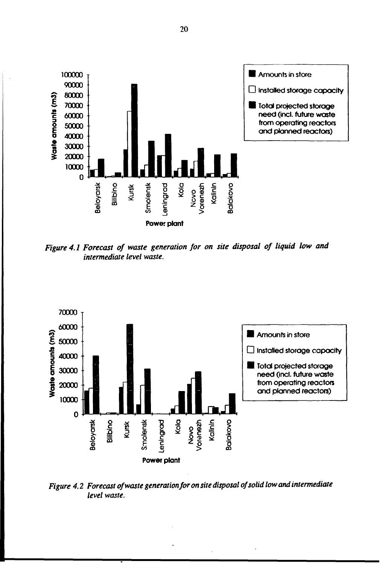

*Figure 4.1 Forecast of waste generation for on site disposal of liquid low and intermediate level waste.*



*Figure 4.2 Forecast of waste generationfor on site disposal of solid low and intermediate level waste.*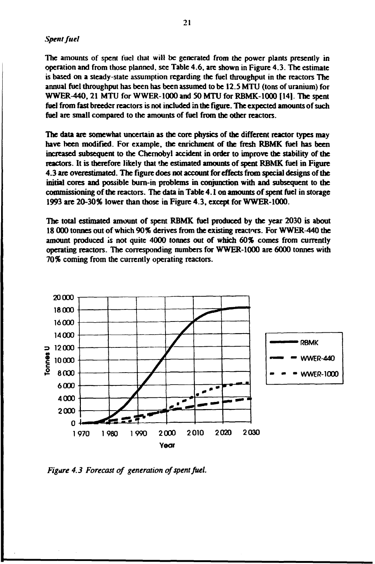#### *Spent fuel*

**The amounts of spent fuel that will be generated from the power plants presently in operation and from those planned, sec Table 4.6, are shown in Figure 4.3. The estimate is based on a steady-state assumption regarding the fuel throughput in the reactors The annual fuel throughput has been has been assumed to be 12.5 MTU (tons of uranium) for WWER-440,21 MTU for WWER-1000 and 50 MTU for RBMK-1000 (14]. The spent fuel from fast breeder reactors is not included in the figure. The expected amounts of such fuel are small compared to the amounts of fuel from the other reactors.**

**The data are somewhat uncertain as the core physics of the different reactor types may have been modified. For example, the enrichment of the fresh RBMK fuel has been increased subsequent to the Chernobyl accident in order to improve the stability of the reactors. It is therefore likely that the estimated amounts of spent RBMK fuel in Figure 4.3 are overestimated. The figure does not account for effects from special designs of the initial cores and possible burn-in problems in conjunction with and subsequent to the commissioning of the reactors. The data in Table 4.1 on amounts of spent fuel in storage 1993 are 20-30% lower than those in Figure 4.3, except for WWER-1000.**

**The total estimated amount of spent RBMK fuel produced by the year 2030 is about 18 000 tonnes out of which 90% derives from the existing reactors. For WWER-440 the amount produced is not quite 4000 tonnes out of which 60% comes from currently operating reactors. The corresponding numbers for WWER-1000 are 6000 tonnes with 70% coming from the currently operating reactors.**



*Figure 4.3 Forecast of generation of spent fuel.*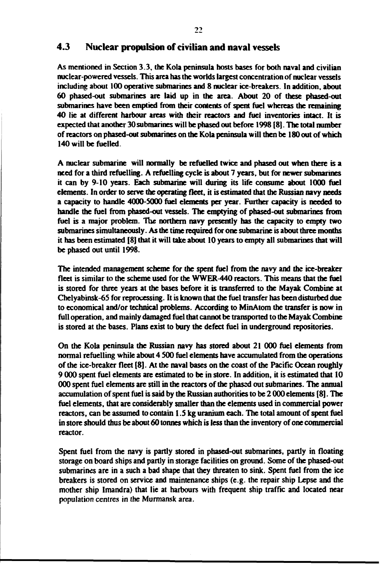## **4.3 Nuclear propulsion of civilian and naval vessels**

**As mentioned in Section 3.3, the Kola peninsula hosts bases for both naval and civilian nuclear-powered vessels. This area has the worlds largest concentration of nuclear vessels including about 100 operative submarines and 8 nuclear ice-breakers. In addition, about 60 phased-out submarines are laid up in the area. About 20 of these phased-out submarines have been emptied from their contents of spent fuel whereas the remaining 40 lie at different harbour areas with their reactors and fuel inventories intact. It is expected that another 30 submarines will be phased out before 1998 [8]. The total number of reactors on phased-out submarines on the Kola peninsula will then be 180 out of which 140 will be fuelled.**

**A nuclear submarine will normally be refuelled twice and phased out when there is a need for a third refuelling. A refuelling cycle is about 7 years, but for newer submarines it can by 9-10 years. Each submarine will during its life consume about 1000 fuel elements. In order to serve the operating fleet, it is estimated that the Russian navy needs a capacity to handle 4000-5000 fuel elements per year. Further capacity is needed to handle the fuel from phased-out vessels. The emptying of phased-out submarines from fuel is a major problem. The northern navy presently has the capacity to empty two submarines simultaneously. As the time required for one submarine is about three months it has been estimated [8] that it will take about 10 years to empty all submarines that will be phased out until 1998.**

**The intended management scheme for the spent fuel from the navy and the ice-breaker fleet is similar to the scheme used for the WWER-440 reactors. This means that the fuel is stored for three years at the bases before it is transferred to the Mayak Combine at Chelyabinsk-65 for reprocessing. It is known that the fuel transfer has been disturbed due to economical and/or technical problems. According to MinAtom the transfer is now in full operation, and mainly damaged fuel that cannot be transported to the Mayak Combine is stored at the bases. Plans exist to bury the defect fuel in underground repositories.**

**On the Kola peninsula the Russian navy has stored about 21 000 fuel elements from normal refuelling while about 4 500 fuel elements have accumulated from the operations of the ice-breaker fleet [8]. At the naval bases on the coast of the Pacific Ocean roughly 9 000 spent fuel elements are estimated to be in store. In addition, it is estimated that 10 000 spent fuel elements are still in the reactors of the phased out submarines. The annual accumulation of spent fuel is said by the Russian authorities to be 2 000 elements [8]. The fuel elements, that are considerably smaller than the elements used in commercial power reactors, can be assumed to contain 1.5 kg uranium each. The total amount of spent fuel in store should thus be about 60 tonnes which is less than the inventory of one commercial reactor.**

**Spent fuel from the navy is partly stored in phased-out submarines, partly in floating storage on board ships and partly in storage facilities on ground. Some of the phased-out submarines are in a such a bad shape that they threaten to sink. Spent fuel from the ice breakers is stored on service and maintenance ships (e.g. the repair ship Lepse and the mother ship Imandra) that lie at harbours with frequent ship traffic and located near population centres in the Murmansk area.**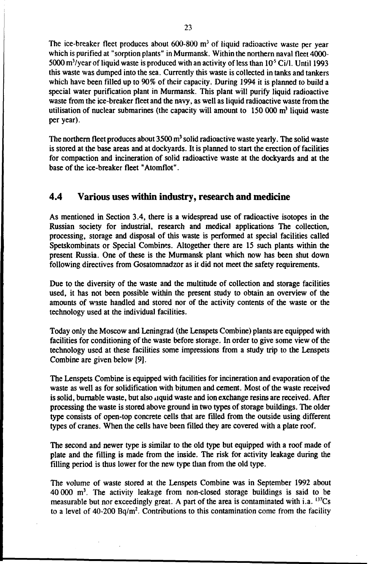The ice-breaker fleet produces about  $600-800$  m<sup>3</sup> of liquid radioactive waste per year which is purified at "sorption plants" in Murmansk. Within the northern naval fleet 4000- 5000 m<sup>3</sup>/year of liquid waste is produced with an activity of less than  $10^5$  Ci/l. Until 1993 this waste was dumped into the sea. Currently this waste is collected in tanks and tankers which have been filled up to 90% of their capacity. During 1994 it is planned to build a special water purification plant in Murmansk. This plant will purify liquid radioactive waste from the ice-breaker fleet and the navy, as well as liquid radioactive waste from the utilisation of nuclear submarines (the capacity will amount to  $150,000$  m<sup>3</sup> liquid waste per year).

The northern fleet produces about  $3500 \text{ m}^3$  solid radioactive waste yearly. The solid waste is stored at the base areas and at dockyards. It is planned to start the erection of facilities for compaction and incineration of solid radioactive waste at the dockyards and at the base of the ice-breaker fleet "Atomflot".

# **4.4 Various uses within industry, research and medicine**

As mentioned in Section 3.4, there is a widespread use of radioactive isotopes in the Russian society for industrial, research and medical applications The collection, processing, storage and disposal of this waste is performed at special facilities called Spetskombinats or Special Combines. Altogether there are 15 such plants within the present Russia. One of these is the Murmansk plant which now has been shut down following directives from Gosatomnadzor as it did not meet the safety requirements.

Due to the diversity of the waste and the multitude of collection and storage facilities used, it has not been possible within the present study to obtain an overview of the amounts of waste handled and stored nor of the activity contents of the waste or the technology used at the individual facilities.

Today only the Moscow and Leningrad (the Lenspets Combine) plants are equipped with facilities for conditioning of the waste before storage. In order to give some view of the technology used at these facilities some impressions from a study trip to the Lenspets Combine are given below [9].

The Lenspets Combine is equipped with facilities for incineration and evaporation of the waste as well as for solidification with bitumen and cement. Most of the waste received is solid, burnable waste, but also liquid waste and ion exchange resins are received. After processing the waste is stored above ground in two types of storage buildings. The older type consists of open-top concrete cells that are filled from the outside using different types of cranes. When the cells have been filled they are covered with a plate roof.

The second and newer type is similar to the old type but equipped with a roof made of plate and the filling is made from the inside. The risk for activity leakage during the filling period is thus lower for the new type than from the old type.

The volume of waste stored at the Lenspets Combine was in September 1992 about 40 000 m<sup>3</sup> . The activity leakage from non-closed storage buildings is said to be measurable but nor exceedingly great. A part of the area is contaminated with i.a.  $^{137}Cs$ to a level of 40-200 Bq/m<sup>2</sup>. Contributions to this contamination come from the facility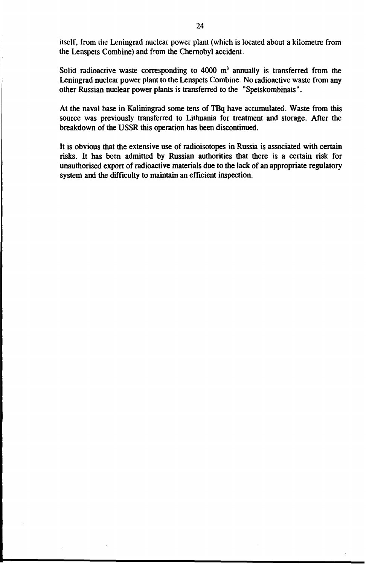itself, from the Leningrad nuclear power plant (which is located about a kilometre from the Lenspets Combine) and from the Chernobyl accident.

Solid radioactive waste corresponding to  $4000 \, \text{m}^3$  annually is transferred from the Leningrad nuclear power plant to the Lenspets Combine. No radioactive waste from any other Russian nuclear power plants is transferred to the "Spetskombinats".

At the naval base in Kaliningrad some tens of TBq have accumulated. Waste from this source was previously transferred to Lithuania for treatment and storage. After the breakdown of the USSR this operation has been discontinued.

It is obvious that the extensive use of radioisotopes in Russia is associated with certain risks. It has been admitted by Russian authorities that there is a certain risk for unauthorised export of radioactive materials due to the lack of an appropriate regulatory system and the difficulty to maintain an efficient inspection.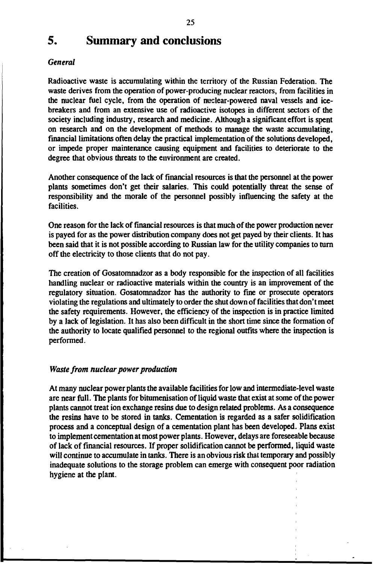# **5. Summary and conclusions**

#### *General*

**Radioactive waste is accumulating within the territory of the Russian Federation. The waste derives from the operation of power-producing nuclear reactors, from facilities in the nuclear fuel cycle, from the operation of nuclear-powered naval vessels and icebreakers and from an extensive use of radioactive isotopes in different sectors of the society including industry, research and medicine. Although a significant effort is spent on research and on the development of methods to manage the waste accumulating, financial limitations often delay the practical implementation of the solutions developed, or impede proper maintenance causing equipment and facilities to deteriorate to the degree that obvious threats to the environment are created.**

**Another consequence of the lack of financial resources is that the personnel at the power plants sometimes don't get their salaries. This could potentially threat the sense of responsibility and the morale of the personnel possibly influencing the safety at the facilities.**

**One reason for the lack of financial resources is that much of the power production never is payed for as the power distribution company does not get payed by their clients. It has been said that it is not possible according to Russian law for the utility companies to turn off the electricity to those clients that do not pay.**

**The creation of Gosatomnadzor as a body responsible for the inspection of all facilities handling nuclear or radioactive materials within the country is an improvement of the regulatory situation. Gosatomnadzor has the authority to fine or prosecute operators violating the regulations and ultimately to order the shut down of facilities that don't meet the safety requirements. However, the efficiency of the inspection is in practice limited by a lack of legislation. It has also been difficult in the short time since the formation of the authority to locate qualified personnel to the regional outfits where the inspection is performed.**

#### *Waste from nuclear power production*

**At many nuclear power plants the available facilities for low and intermediate-level waste are near full. The plants for bitumenisation of liquid waste that exist at some of the power plants cannot treat ion exchange resins due to design related problems. As a consequence the resins have to be stored in tanks. Cementation is regarded as a safer solidification process and a conceptual design of a cementation plant has been developed. Plans exist to implement cementation at most power plants. However, delays are foreseeable because of lack of financial resources. If proper solidification cannot be performed, liquid waste will continue to accumulate in tanks. There is an obvious risk that temporary and possibly inadequate solutions to the storage problem can emerge with consequent poor radiation hygiene at the plant.**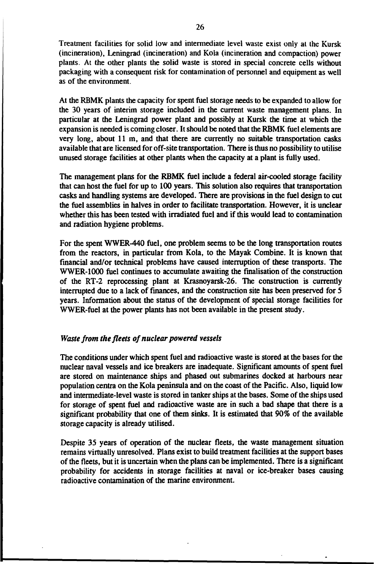**Treatment facilities tor solid low and intermediate level waste exist only at the Kursk (incineration), Leningrad (incineration) and Kola (incineration and compaction) power plants. At the other plants the solid waste is stored in special concrete cells without packaging with a consequent risk for contamination of personnel and equipment as well as of the environment.**

**At the RBMK plants the capacity for spent fuel storage needs to be expanded to allow for the 30 years of interim storage included in the current waste management plans. In particular at the Leningrad power plant and possibly at Kursk the time at which the expansion is needed is coming closer. It should be noted that the RBMK fuel elements are very long, about llm , and that there are currently no suitable transportation casks available that are licensed for off-site transportation. There is thus no possibility to utilise unused storage facilities at other plants when the capacity at a plant is fully used.**

**The management plans for the RBMK fuel include a federal air-cooled storage facility that can host the fuel for up to 100 years. This solution also requires that transportation casks and handling systems are developed. There are provisions in the fuel design to cut the fuel assemblies in halves in order to facilitate transportation. However, it is unclear whether this has been tested with irradiated fuel and if this would lead to contamination and radiation hygiene problems.**

**For the spent WWER-440 fuel, one problem seems to be the long transportation routes from the reactors, in particular from Kola, to the Mayak Combine. It is known that financial and/or technical problems have caused interruption of these transports. The WWER-1000 fuel continues to accumulate awaiting the finalisation of the construction of the RT-2 reprocessing plant at Krasnoyarsk-26. The construction is currently interrupted due to a lack of finances, and the construction site has been preserved for 5 years. Information about the status of the development of special storage facilities for WWER-fuel at the power plants has not been available in the present study.**

#### *Waste from the fleets of nuclear powered vessels*

**The conditions under which spent fuel and radioactive waste is stored at the bases for the nuclear naval vessels and ice breakers are inadequate. Significant amounts of spent fuel are stored on maintenance ships and phased out submarines docked at harbours near population centra on the Kola peninsula and on the coast of the Pacific. Also, liquid low and intermediate-level waste is stored in tanker ships at the bases. Some of the ships used for storage of spent fuel and radioactive waste are in such a bad shape that there is a significant probability that one of them sinks. It is estimated that 90% of the available storage capacity is already utilised.**

**Despite 35 years of operation of the nuclear fleets, the waste management situation remains virtually unresolved. Plans exist to build treatment facilities at the support bases of the fleets, but it is uncertain when the plans can be implemented. There is a significant probability for accidents in storage facilities at naval or ice-breaker bases causing radioactive contamination of the marine environment.**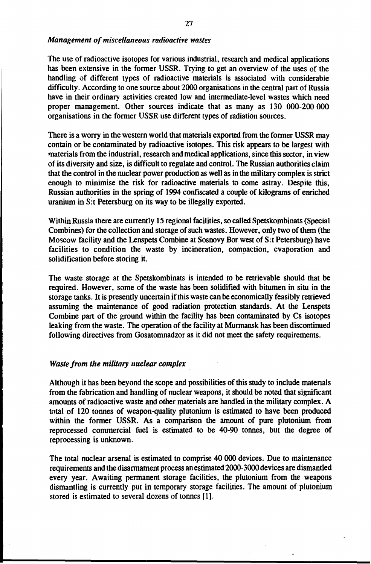#### *Management of miscellaneous radioactive wastes*

The use of radioactive isotopes for various industrial, research and medical applications has been extensive in the former USSR. Trying to get an overview of the uses of the handling of different types of radioactive materials is associated with considerable difficulty. According to one source about 2000 organisations in the central part of Russia have in their ordinary activities created low and intermediate-level wastes which need proper management. Other sources indicate that as many as 130 000-200 000 organisations in the former USSR use different types of radiation sources.

There is a worry in the western world that materials exported from the former USSR may contain or be contaminated by radioactive isotopes. This risk appears to be largest with materials from the industrial, research and medical applications, since this sector, in view of its diversity and size, is difficult to regulate and control. The Russian authorities claim that the control in the nuclear power production as well as in the military complex is strict enough to minimise the risk for radioactive materials to come astray. Despite this, Russian authorities in the spring of 1994 confiscated a couple of kilograms of enriched uranium in S:t Petersburg on its way to be illegally exported.

Within Russia there are currently 15 regional facilities, so called Spetskombinats (Special Combines) for the collection and storage of such wastes. However, only two of them (the Moscow facility and the Lenspets Combine at Sosnovy Bor west of S:t Petersburg) have facilities to condition the waste by incineration, compaction, evaporation and solidification before storing it.

The waste storage at the Spetskombinats is intended to be retrievable should that be required. However, some of the waste has been solidified with bitumen in situ in the storage tanks. It is presently uncertain if this waste can be economically feasibly retrieved assuming the maintenance of good radiation protection standards. At the Lenspets Combine part of the ground within the facility has been contaminated by Cs isotopes leaking from the waste. The operation of the facility at Murmansk has been discontinued following directives from Gosatomnadzor as it did not meet the safety requirements.

#### *Waste from the military nuclear complex*

Although it has been beyond the scope and possibilities of this study to include materials from the fabrication and handling of nuclear weapons, it should be noted that significant amounts of radioactive waste and other materials are handled in the military complex. A total of 120 tonnes of weapon-quality plutonium is estimated to have been produced within the former USSR. As a comparison the amount of pure plutonium from reprocessed commercial fuel is estimated to be 40-90 tonnes, but the degree of reprocessing is unknown.

The total nuclear arsenal is estimated to comprise 40 000 devices. Due to maintenance requirements and the disarmament process an estimated 2000-3000 devices are dismantled every year. Awaiting permanent storage facilities, the plutonium from the weapons dismantling is currently put in temporary storage facilities. The amount of plutonium stored is estimated to several dozens of tonnes [1].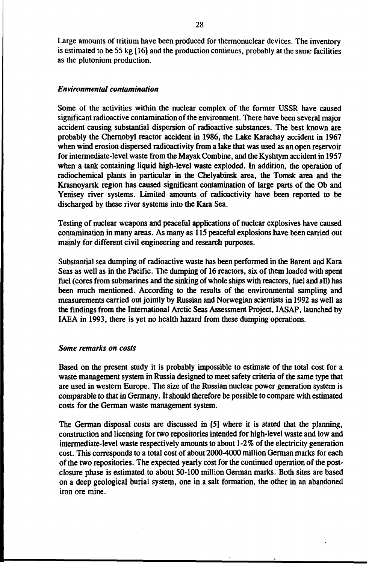**Large amounts of tritium have been produced for thermonuclear devices. The inventory is estimated to be 55 kg [16] and the production continues, probably at the same facilities as the plutonium production.**

#### *Environmental contamination*

**Some of the activities within the nuclear complex of the former USSR have caused significant radioactive contamination of the environment. There have been several major accident causing substantial dispersion of radioactive substances. The best known are probably the Chernobyl reactor accident in 1986, the Lake Karachay accident in 1967 when wind erosion dispersed radioactivity from a lake that was used as an open reservoir for intermediate-level waste from the Mayak Combine, and the Kyshtym accident in 1957 when a tank containing liquid high-level waste exploded. In addition, the operation of radiochemical plants in particular in the Chelyabinsk area, the Tomsk area and the Krasnoyarsk region has caused significant contamination of large parts of the Ob and Yenisey river systems. Limited amounts of radioactivity have been reported to be discharged by these river systems into the Kara Sea.**

**Testing of nuclear weapons and peaceful applications of nuclear explosives have caused contamination in many areas. As many as 115 peaceful explosions have been carried out mainly for different civil engineering and research purposes.**

**Substantial sea dumping of radioactive waste has been performed in the Barent and Kara Seas as well as in the Pacific. The dumping of 16 reactors, six of them loaded with spent fuel (cores from submarines and the sinking of whole ships with reactors, fuel and all) has been much mentioned. According to the results of the environmental sampling and measurements carried out jointly by Russian and Norwegian scientists in 1992 as well as the findings from the International Arctic Seas Assessment Project, I ASAP, launched by IAEA in 1993, there is yet no health hazard from these dumping operations.**

#### *Some remarks on costs*

**Based on the present study it is probably impossible to estimate of the total cost for a waste management system in Russia designed to meet safety criteria of the same type that are used in western Europe. The size of the Russian nuclear power generation system is comparable to that in Germany. It should therefore be possible to compare with estimated costs for the German waste management system.**

**The German disposal costs are discussed in [5] where it is stated that the planning, construction and licensing for two repositories intended for high-level waste and low and intermediate-level waste respectively amounts to about 1-2% of the electricity generation cost. This corresponds to a total cost of about 2000-4000 million German marks for each of the two repositories. The expected yearly cost for the continued operation of the postclosure phase is estimated to about 50-100 million German marks. Both sites are based on a deep geological burial system, one in a salt formation, the other in an abandoned iron ore mine.**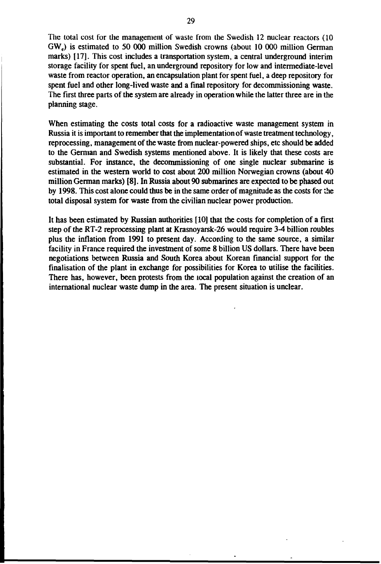The total cost for the management of waste from the Swedish 12 nuclear reactors (10 GWe) is estimated to 50 000 million Swedish crowns (about 10 000 million German marks) [17]. This cost includes a transportation system, a central underground interim storage facility for spent fuel, an underground repository for low and intermediate-level waste from reactor operation, an encapsulation plant for spent fuel, a deep repository for spent fuel and other long-lived waste and a final repository for decommissioning waste. The first three parts of the system are already in operation while the latter three are in the planning stage.

When estimating the costs total costs for a radioactive waste management system in Russia it is important to remember that the implementation of waste treatment technology, reprocessing, management of the waste from nuclear-powered ships, etc should be added to the German and Swedish systems mentioned above. It is likely that these costs are substantial. For instance, the decommissioning of one single nuclear submarine is estimated in the western world to cost about 200 million Norwegian crowns (about 40 million German marks) [8]. In Russia about 90 submarines are expected to be phased out by 1998. This cost alone could thus be in the same order of magnitude as the costs for the total disposal system for waste from the civilian nuclear power production.

It has been estimated by Russian authorities [10] that the costs for completion of a first step of the RT-2 reprocessing plant at Krasnoyarsk-26 would require 3-4 billion roubles plus the inflation from 1991 to present day. According to the same source, a similar facility in France required the investment of some 8 billion US dollars. There have been negotiations between Russia and South Korea about Korean financial support for the finalisation of the plant in exchange for possibilities for Korea to utilise the facilities. There has, however, been protests from the local population against the creation of an international nuclear waste dump in the area. The present situation is unclear.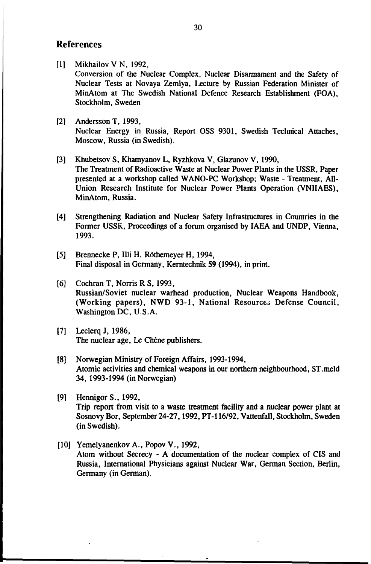## References

- [1] Mikhailov V N, 1992, Conversion of the Nuclear Complex, Nuclear Disarmament and the Safety of Nuclear Tests at Novaya Zemlya, Lecture by Russian Federation Minister of MinAtom at The Swedish National Defence Research Establishment (FOA), Stockholm, Sweden
- [2] Andersson T, 1993, Nuclear Energy in Russia, Report OSS 9301, Swedish Teclinical Attaches, Moscow, Russia (in Swedish).
- [3] Khubetsov S, Khamyanov L, Ryzhkova V, Glazunov V, 1990, The Treatment of Radioactive Waste at Nuclear Power Plants in the USSR, Paper presented at a workshop called WANO-PC Workshop; Waste - Treatment, All-Union Research Institute for Nuclear Power Plants Operation (VNIIAES), MinAtom, Russia.
- [4] Strengthening Radiation and Nuclear Safety Infrastructures in Countries in the Former USSR, Proceedings of a forum organised by IAEA and UNDP, Vienna, 1993.
- [5] Brennecke P, Illi H, Röthemeyer H, 1994, Final disposal in Germany, Kerntechnik 59 (1994), in print.
- [6] Cochran T, Norris R S, 1993, Russian/Soviet nuclear warhead production, Nuclear Weapons Handbook, (Working papers), NWD 93-1, National Resources Defense Council, Washington DC, U.S.A.
- [7] Leclerq J, 1986, The nuclear age, Le Chéne publishers.
- [8] Norwegian Ministry of Foreign Affairs, 1993-1994, Atomic activities and chemical weapons in our northern neighbourhood, ST.meld 34, 1993-1994 (in Norwegian)
- [9] Hennigor S., 1992, Trip report from visit to a waste treatment facility and a nuclear power plant at Sosnovy Bor, September 24-27,1992, PT-116/92, Vattenfall, Stockholm, Sweden (in Swedish).
- [10] Yemelyanenkov A., Popov V., 1992, Atom without Secrecy - A documentation of the nuclear complex of CIS and Russia, International Physicians against Nuclear War, German Section, Berlin, Germany (in German).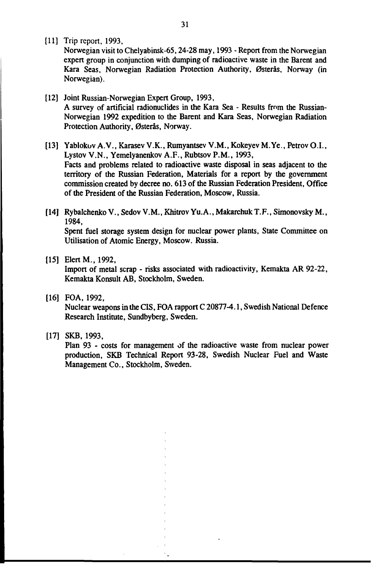[11] Trip report, 1993,

Norwegian visit to Chelyabinsk-65,24-28 may, 1993 - Report from the Norwegian expert group in conjunction with dumping of radioactive waste in the Barent and Kara Seas, Norwegian Radiation Protection Authority, Østerås, Norway (in Norwegian).

- [12] Joint Russian-Norwegian Expert Group, 1993, A survey of artificial radionuclides in the Kara Sea - Results from the Russian-Norwegian 1992 expedition to the Barent and Kara Seas, Norwegian Radiation Protection Authority, Østerås, Norway.
- [13] Yablokov A.V., Karasev V.K., Rumyantsev V.M., Kokeyev M.Ye., Petrov O.I., Lystov V.N., Yemelyanenkov A.F., Rubtsov P.M., 1993, Facts and problems related to radioactive waste disposal in seas adjacent to the territory of the Russian Federation, Materials for a report by the government commission created by decree no. 613 of the Russian Federation President, Office of the President of the Russian Federation, Moscow, Russia.
- [14] Rybalchenko V., Sedov V.M., Khitrov Yu.A., Makarchuk T.F., Simonovsky M., 1984, Spent fuel storage system design for nuclear power plants, State Committee on Utilisation of Atomic Energy, Moscow. Russia.
- [15] Elert M., 1992,

Import of metal scrap - risks associated with radioactivity, Kemakta AR 92-22, Kemakta Konsult AB, Stockholm, Sweden.

[16] FOA, 1992,

Nuclear weapons in the CIS, FOA rapport C 20877-4.1, Swedish National Defence Research Institute, Sundbyberg, Sweden.

[17] SKB, 1993.

Plan 93 - costs for management of the radioactive waste from nuclear power production, SKB Technical Report 93-28, Swedish Nuclear Fuel and Waste Management Co., Stockholm, Sweden.